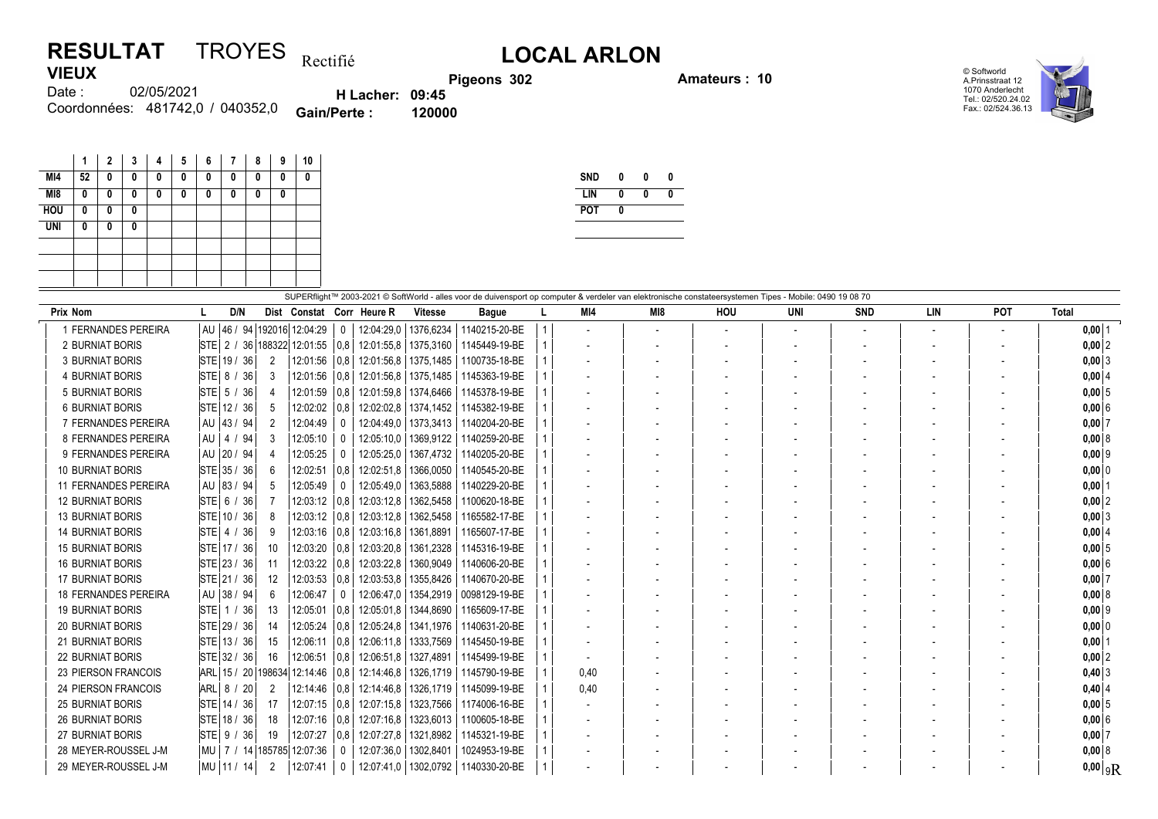## **RESULTAT** TROYES  $_{\text{Rectifi\'e}}$  L**OCAL ARLON VIEUX**

**Pigeons 302 Amateurs : 10**



02/05/2021 481742,0 / 040352,0 Coordonnées: **Gain/Perte : 120000** Date :

**H Lacher: 09:45**

|            | 1  | $\overline{2}$ | 3        | 4 | 5 | 6 | 7 | 8 | 9 | 10 |
|------------|----|----------------|----------|---|---|---|---|---|---|----|
| MI4        | 52 | 0              | 0        | 0 | 0 | 0 | 0 | 0 | 0 | 0  |
| M18        | 0  | 0              | $\bf{0}$ | 0 | 0 | 0 | 0 | 0 | 0 |    |
| <b>HOU</b> | 0  | 0              | 0        |   |   |   |   |   |   |    |
| <b>UNI</b> | 0  | 0              | 0        |   |   |   |   |   |   |    |
|            |    |                |          |   |   |   |   |   |   |    |
|            |    |                |          |   |   |   |   |   |   |    |
|            |    |                |          |   |   |   |   |   |   |    |

| <b>SND</b> | N | Λ |  |
|------------|---|---|--|
| LIN        | N | N |  |
| <b>POT</b> |   |   |  |
|            |   |   |  |

|                             | SUPERflight™ 2003-2021 © SoftWorld - alles voor de duivensport op computer & verdeler van elektronische constateersystemen Tipes - Mobile: 0490 19 08 70 |                   |                           |              |                        |                        |               |  |      |     |                          |     |            |     |                          |                       |
|-----------------------------|----------------------------------------------------------------------------------------------------------------------------------------------------------|-------------------|---------------------------|--------------|------------------------|------------------------|---------------|--|------|-----|--------------------------|-----|------------|-----|--------------------------|-----------------------|
| <b>Prix Nom</b>             | D/N                                                                                                                                                      |                   | Dist Constat Corr Heure R |              |                        | <b>Vitesse</b>         | <b>Bague</b>  |  | MI4  | MI8 | HOU                      | UNI | <b>SND</b> | LIN | POT                      | Total                 |
| 1 FERNANDES PEREIRA         | AU 46 /                                                                                                                                                  | 94                | 192016 12:04:29           | $\mathbf{0}$ |                        | 12:04:29,0   1376,6234 | 1140215-20-BE |  |      |     | $\overline{\phantom{a}}$ |     |            |     | $\overline{\phantom{a}}$ | $0,00$  1             |
| 2 BURNIAT BORIS             | STE 2 / 36 188322 12:01:55                                                                                                                               |                   |                           | 0.8          |                        | 12:01:55,8   1375,3160 | 1145449-19-BE |  |      |     |                          |     |            |     | $\overline{\phantom{a}}$ | $0,00$ 2              |
| <b>3 BURNIAT BORIS</b>      | STE 19 / 36                                                                                                                                              | 2                 | 12:01:56                  | 0,8          |                        | 12:01:56,8   1375,1485 | 1100735-18-BE |  |      |     |                          |     |            |     |                          | $0,00$ 3              |
| 4 BURNIAT BORIS             | STE 8 / 36                                                                                                                                               | 3                 | 12:01:56                  | 0,8          |                        | 12:01:56.8   1375.1485 | 1145363-19-BE |  |      |     |                          |     |            |     |                          | 0,00   4              |
| <b>5 BURNIAT BORIS</b>      | STE 5 / 36                                                                                                                                               | 4                 | 12:01:59                  | 0,8          |                        | 12:01:59,8   1374,6466 | 1145378-19-BE |  |      |     |                          |     |            |     |                          | 0,005                 |
| <b>6 BURNIAT BORIS</b>      | STE 12 / 36                                                                                                                                              | -5                | 12:02:02                  | 0.8          | 12:02:02.8             | 1374.1452              | 1145382-19-BE |  |      |     |                          |     |            |     |                          | $0.00$ 6              |
| 7 FERNANDES PEREIRA         | AU 43 / 94                                                                                                                                               | 2                 | 12:04:49                  |              |                        | 12:04:49.0   1373.3413 | 1140204-20-BE |  |      |     |                          |     |            |     |                          | $0,00$ 7              |
| 8 FERNANDES PEREIRA         | AU   4 / 94                                                                                                                                              | 3                 | 12:05:10                  | $\mathbf{0}$ |                        | 12:05:10,0   1369,9122 | 1140259-20-BE |  |      |     |                          |     |            |     |                          | $0,00$ 8              |
| 9 FERNANDES PEREIRA         | AU 20 / 94                                                                                                                                               |                   | 12:05:25                  | 0            | 12:05:25.0             | 1367.4732              | 1140205-20-BE |  |      |     |                          |     |            |     |                          | $0.00$  9             |
| <b>10 BURNIAT BORIS</b>     | STE 35 / 36                                                                                                                                              | 6                 | 12:02:51                  | 0,8          | 12:02:51,8             | 1366,0050              | 1140545-20-BE |  |      |     |                          |     |            |     |                          | $0,00$ 0              |
| 11 FERNANDES PEREIRA        | AU 83 / 94                                                                                                                                               | 5                 | 12:05:49                  | 0            |                        | 12:05:49.0   1363.5888 | 1140229-20-BE |  |      |     |                          |     |            |     |                          | $0,00$ 1              |
| <b>12 BURNIAT BORIS</b>     | STE 6 / 36                                                                                                                                               |                   | 12:03:12 0.8              |              | 12:03:12.8             | 1362,5458              | 1100620-18-BE |  |      |     |                          |     |            |     |                          | $0,00$ 2              |
| <b>13 BURNIAT BORIS</b>     | STE 10 / 36                                                                                                                                              | 8                 | 12:03:12                  | 0,8          | 12:03:12.8             | 1362,5458              | 1165582-17-BE |  |      |     |                          |     |            |     |                          | $0,00$ 3              |
| <b>14 BURNIAT BORIS</b>     | STE 4 / 36                                                                                                                                               | 9                 | 12:03:16                  | 0,8          | 12:03:16.8   1361,8891 |                        | 1165607-17-BE |  |      |     |                          |     |            |     |                          | $0,00$ 4              |
| <b>15 BURNIAT BORIS</b>     | STE 17 / 36                                                                                                                                              | 10                | 12:03:20                  | 0,8          |                        | 12:03:20.8   1361,2328 | 1145316-19-BE |  |      |     |                          |     |            |     |                          | $0,00$ 5              |
| <b>16 BURNIAT BORIS</b>     | STE 23 / 36                                                                                                                                              | 11                | 12:03:22                  | 0,8          | 12:03:22,8             | 1360,9049              | 1140606-20-BE |  |      |     |                          |     |            |     |                          | $0.00$ 6              |
| <b>17 BURNIAT BORIS</b>     | STE 21 / 36                                                                                                                                              | $12 \overline{ }$ | 12:03:53                  | 0.8          | 12:03:53,8             | 1355,8426              | 1140670-20-BE |  |      |     |                          |     |            |     |                          | 0,007                 |
| <b>18 FERNANDES PEREIRA</b> | AU   38 / 94                                                                                                                                             | 6                 | 12:06:47                  | 0            |                        | 12:06:47.0   1354.2919 | 0098129-19-BE |  |      |     |                          |     |            |     |                          | $0.00$ 8              |
| <b>19 BURNIAT BORIS</b>     | STE 1 / 36                                                                                                                                               | 13                | 12:05:01                  | 0,8          |                        | 12:05:01.8   1344.8690 | 1165609-17-BE |  |      |     |                          |     |            |     |                          | $0,00$ 9              |
| <b>20 BURNIAT BORIS</b>     | STE 29 / 36                                                                                                                                              | 14                | 12:05:24                  | 0.8          |                        | 12:05:24.8   1341.1976 | 1140631-20-BE |  |      |     |                          |     |            |     |                          | 0.00 0                |
| <b>21 BURNIAT BORIS</b>     | STE 13 / 36                                                                                                                                              | 15                | 12:06:11                  | 0,8          |                        | 12:06:11.8   1333.7569 | 1145450-19-BE |  |      |     |                          |     |            |     |                          | $0,00$ 1              |
| <b>22 BURNIAT BORIS</b>     | STE 32 / 36                                                                                                                                              | 16                | 12:06:51                  | 0.8          | 12:06:51.8   1327.4891 |                        | 1145499-19-BE |  |      |     |                          |     |            |     |                          | 0.00 2                |
| <b>23 PIERSON FRANCOIS</b>  | ARL 15 / 20                                                                                                                                              | 198634            | 12:14:46                  | 0.8          |                        | 12:14:46.8   1326.1719 | 1145790-19-BE |  | 0,40 |     |                          |     |            |     |                          | $0,40$ 3              |
| 24 PIERSON FRANCOIS         | ARL 8 / 20                                                                                                                                               | 2                 | 12:14:46                  | 0,8          |                        | 12:14:46.8   1326.1719 | 1145099-19-BE |  | 0,40 |     |                          |     |            |     |                          | $0,40$ 4              |
| <b>25 BURNIAT BORIS</b>     | STE 14 / 36                                                                                                                                              | 17                | 12:07:15                  | 0.8          |                        | 12:07:15.8   1323.7566 | 1174006-16-BE |  |      |     |                          |     |            |     |                          | 0,005                 |
| <b>26 BURNIAT BORIS</b>     | STE 18 / 36                                                                                                                                              | 18                | 12:07:16                  | 0,8          |                        | 12:07:16.8   1323,6013 | 1100605-18-BE |  |      |     |                          |     |            |     |                          | $0,00$ 6              |
| <b>27 BURNIAT BORIS</b>     | $\vert$ STE $\vert$ 9 / 36                                                                                                                               | 19                | 12:07:27                  | 0,8          | 12:07:27,8             | 1321,8982              | 1145321-19-BE |  |      |     |                          |     |            |     |                          | $0,00$ 7              |
| 28 MEYER-ROUSSEL J-M        | MU   7 / 14   185785                                                                                                                                     |                   | 12:07:36                  | 0            | 12:07:36.0   1302.8401 |                        | 1024953-19-BE |  |      |     |                          |     |            |     |                          | 0,008                 |
| 29 MEYER-ROUSSEL J-M        | MU 11 / 14                                                                                                                                               | 2                 | 12:07:41                  | 0            |                        | 12:07:41,0   1302,0792 | 1140330-20-BE |  |      |     |                          |     |            |     |                          | $0,00$ <sub>9</sub> R |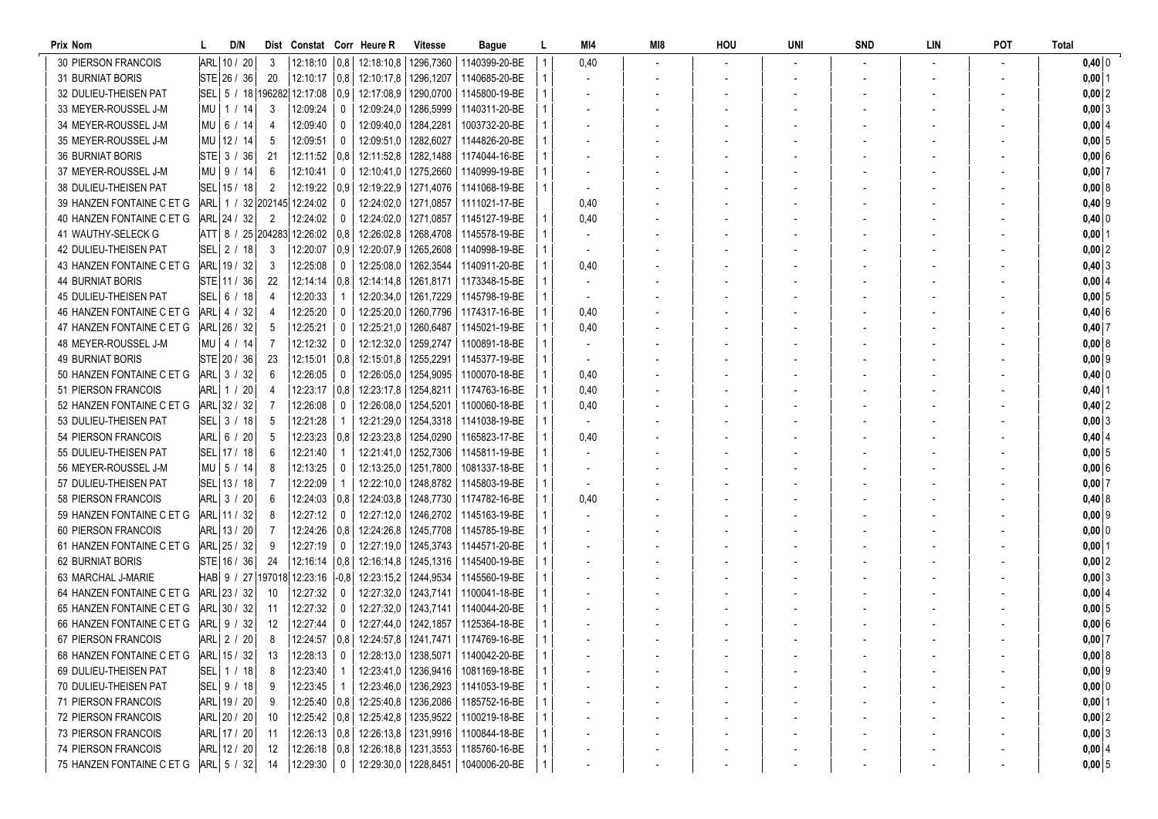| Prix Nom                   | D/N           |                |                                     |                | Dist Constat Corr Heure R               | <b>Vitesse</b>         | Bague                                                   | L            | MI4                      | MI8 | HOU | UNI | <b>SND</b> | LIN | POT | <b>Total</b>   |
|----------------------------|---------------|----------------|-------------------------------------|----------------|-----------------------------------------|------------------------|---------------------------------------------------------|--------------|--------------------------|-----|-----|-----|------------|-----|-----|----------------|
| <b>30 PIERSON FRANCOIS</b> | ARL 10 / 20   | -3             |                                     |                | 12:18:10   0,8   12:18:10,8   1296,7360 |                        | 1140399-20-BE                                           |              | 0,40                     |     |     |     |            |     |     | $0,40$ 0       |
| <b>31 BURNIAT BORIS</b>    | STE 26 / 36   | 20             |                                     |                | 12:10:17   0,8   12:10:17,8   1296,1207 |                        | 1140685-20-BE                                           | $\mathbf{1}$ | $\overline{\phantom{a}}$ |     |     |     |            |     |     | $0,00$ 1       |
| 32 DULIEU-THEISEN PAT      |               |                | SEL 5 / 18 196282 12:17:08 0.9      |                | 12:17:08.9   1290.0700                  |                        | 1145800-19-BE                                           | 1            |                          |     |     |     |            |     |     | $0,00$ 2       |
| 33 MEYER-ROUSSEL J-M       | MU   1 / 14   | -3             | 12:09:24                            | $\mathbf{0}$   | 12:09:24,0   1286,5999                  |                        | 1140311-20-BE                                           |              |                          |     |     |     |            |     |     | $0,00$ 3       |
| 34 MEYER-ROUSSEL J-M       | MU   6 / 14   | -4             | 12:09:40                            | $\mathbf{0}$   | 12:09:40,0   1284,2281                  |                        | 1003732-20-BE                                           |              |                          |     |     |     |            |     |     | 0,0014         |
| 35 MEYER-ROUSSEL J-M       | MU 12 / 14    | -5             | 12:09:51                            | 0              | 12:09:51,0   1282,6027                  |                        | 1144826-20-BE                                           |              |                          |     |     |     |            |     |     | $0,00 \vert 5$ |
| <b>36 BURNIAT BORIS</b>    | STE 3 / 36    | 21             | 12:11:52 0.8                        |                | 12:11:52,8   1282,1488                  |                        | 1174044-16-BE                                           |              |                          |     |     |     |            |     |     | 0,006          |
| 37 MEYER-ROUSSEL J-M       | $MU$   9 / 14 | 6              | 12:10:41                            | $\mathbf{0}$   | 12:10:41,0   1275,2660                  |                        | 1140999-19-BE                                           |              |                          |     |     |     |            |     |     | $0,00$ 7       |
| 38 DULIEU-THEISEN PAT      | SEL 15 / 18   | $\overline{2}$ | $12:19:22 \mid 0.9$                 |                | 12:19:22,9   1271,4076                  |                        | 1141068-19-BE                                           |              |                          |     |     |     |            |     |     | 0,008          |
| 39 HANZEN FONTAINE C ET G  |               |                | ARL 1 / 32 202145 12:24:02          | 0              |                                         | 12:24:02,0   1271,0857 | 1111021-17-BE                                           |              | 0,40                     |     |     |     |            |     |     | $0,40$ 9       |
| 40 HANZEN FONTAINE C ET G  | ARL 24 / 32   | $\overline{2}$ | 12:24:02                            | $\mathbf 0$    | 12:24:02,0 1271,0857                    |                        | 1145127-19-BE                                           |              | 0,40                     |     |     |     |            |     |     | $0,40$ 0       |
| 41 WAUTHY-SELECK G         |               |                | ATT  8 / 25  204283  12:26:02   0.8 |                | 12:26:02.8   1268.4708                  |                        | 1145578-19-BE                                           | 1            |                          |     |     |     |            |     |     | $0,00$   1     |
| 42 DULIEU-THEISEN PAT      | SEL 2 / 18    | 3              | 12:20:07   0,9                      |                | 12:20:07,9   1265,2608                  |                        | 1140998-19-BE                                           |              | $\overline{\phantom{a}}$ |     |     |     |            |     |     | $0,00$ 2       |
| 43 HANZEN FONTAINE C ET G  | ARL 19 / 32   | 3              | 12:25:08                            | 0              | 12:25:08,0   1262,3544                  |                        | 1140911-20-BE                                           |              | 0,40                     |     |     |     |            |     |     | 0,403          |
| <b>44 BURNIAT BORIS</b>    | $STE$ 11 / 36 | 22             | $12:14:14$   0,8                    |                | 12:14:14,8   1261,8171                  |                        | 1173348-15-BE                                           |              |                          |     |     |     |            |     |     | 0,00   4       |
| 45 DULIEU-THEISEN PAT      |               | -4             | 12:20:33                            |                |                                         | 12:20:34,0   1261,7229 | 1145798-19-BE                                           |              |                          |     |     |     |            |     |     | 0,005          |
| 46 HANZEN FONTAINE C ET G  | ARL  4 / 32   |                | 12:25:20                            | 0              | 12:25:20,0   1260,7796                  |                        | 1174317-16-BE                                           |              | 0,40                     |     |     |     |            |     |     | 0,406          |
| 47 HANZEN FONTAINE C ET G  | ARL 26 / 32   | -5             | 12:25:21                            | $\mathbf 0$    | 12:25:21.0   1260.6487                  |                        | 1145021-19-BE                                           |              | 0,40                     |     |     |     |            |     |     | $0,40$ 7       |
| 48 MEYER-ROUSSEL J-M       | MU   4 / 14   | -7             | 12:12:32                            | $\mathbf 0$    | 12:12:32,0   1259,2747                  |                        | 1100891-18-BE                                           |              |                          |     |     |     |            |     |     | 0,008          |
| <b>49 BURNIAT BORIS</b>    | STE 20 / 36   | 23             | $12:15:01$ 0,8                      |                | 12:15:01.8   1255.2291                  |                        | 1145377-19-BE                                           | 1            |                          |     |     |     |            |     |     | $0,00$ 9       |
| 50 HANZEN FONTAINE C ET G  | ARL 3 / 32    | 6              | 12:26:05                            | $\mathbf{0}$   | 12:26:05,0   1254,9095                  |                        | 1100070-18-BE                                           | 1            | 0,40                     |     |     |     |            |     |     | $0,40$ 0       |
| 51 PIERSON FRANCOIS        | ARL 1 / 20    | 4              | $12:23:17$ 0.8                      |                | 12:23:17,8   1254,8211                  |                        | 1174763-16-BE                                           | 1            | 0,40                     |     |     |     |            |     |     | $0,40$   1     |
| 52 HANZEN FONTAINE C ET G  | ARL 32 / 32   | -7             | 12:26:08                            | 0              | 12:26:08,0   1254,5201                  |                        | 1100060-18-BE                                           |              | 0,40                     |     |     |     |            |     |     | $0,40$ 2       |
| 53 DULIEU-THEISEN PAT      | SEL 3 / 18    | -5             | 12:21:28                            |                | 12:21:29,0   1254,3318                  |                        | 1141038-19-BE                                           |              | $\blacksquare$           |     |     |     |            |     |     | 0,003          |
| 54 PIERSON FRANCOIS        | ARL 6 / 20    | -5             | $12:23:23 \mid 0,8$                 |                | 12:23:23,8   1254,0290                  |                        | 1165823-17-BE                                           |              | 0,40                     |     |     |     |            |     |     | $0,40$ 4       |
| 55 DULIEU-THEISEN PAT      | SEL   17 / 18 | 6              | 12:21:40                            | $\overline{1}$ | 12:21:41,0   1252,7306                  |                        | 1145811-19-BE                                           |              |                          |     |     |     |            |     |     | $0,00 \vert 5$ |
| 56 MEYER-ROUSSEL J-M       | MU 5 / 14     |                | 12:13:25                            | 0              | 12:13:25,0   1251,7800                  |                        | 1081337-18-BE                                           |              |                          |     |     |     |            |     |     | 0,006          |
| 57 DULIEU-THEISEN PAT      | SEL 13 / 18   | -7             | 12:22:09                            | -1             |                                         | 12:22:10,0   1248,8782 | 1145803-19-BE                                           |              |                          |     |     |     |            |     |     | $0,00$ 7       |
| 58 PIERSON FRANCOIS        | ARL 3 / 20    | 6              | $12:24:03$ 0.8                      |                | 12:24:03,8   1248,7730                  |                        | 1174782-16-BE                                           |              | 0,40                     |     |     |     |            |     |     | $0,40$ 8       |
| 59 HANZEN FONTAINE C ET G  | ARL 11 / 32   | 8              | 12:27:12                            | $\mathbf{0}$   |                                         | 12:27:12.0   1246.2702 | 1145163-19-BE                                           |              |                          |     |     |     |            |     |     | $0,00$ 9       |
| 60 PIERSON FRANCOIS        | ARL  13 / 20  |                | 12:24:26   0,8                      |                | 12:24:26.8   1245.7708                  |                        | 1145785-19-BE                                           |              | $\overline{\phantom{a}}$ |     |     |     |            |     |     | $0,00$ 0       |
| 61 HANZEN FONTAINE C ET G  | ARL 25 / 32   | -9             | 12:27:19                            | $\mathbf 0$    |                                         | 12:27:19.0   1245.3743 | 1144571-20-BE                                           |              |                          |     |     |     |            |     |     | $0,00$   1     |
| <b>62 BURNIAT BORIS</b>    | $STE$ 16 / 36 | -24            | 12:16:14   0,8                      |                | 12:16:14,8 1245,1316                    |                        | 1145400-19-BE                                           |              |                          |     |     |     |            |     |     | $0,00$ 2       |
| 63 MARCHAL J-MARIE         |               |                | HAB 9 / 27 197018 12:23:16 -0,8     |                | 12:23:15,2   1244,9534                  |                        | 1145560-19-BE                                           |              |                          |     |     |     |            |     |     | 0,003          |
| 64 HANZEN FONTAINE C ET G  | ARL 23 / 32   | -10            | 12:27:32                            | 0              |                                         | 12:27:32.0   1243.7141 | 1100041-18-BE                                           |              |                          |     |     |     |            |     |     | 0,00   4       |
| 65 HANZEN FONTAINE C ET G  | ARL 30 / 32   | -11            | 12:27:32                            | 0              |                                         | 12:27:32,0   1243,7141 | 1140044-20-BE                                           |              |                          |     |     |     |            |     |     | 0,005          |
| 66 HANZEN FONTAINE C ET G  | ARL  9 / 32   | -12            | 12:27:44                            | $\mathbf{0}$   |                                         | 12:27:44.0   1242.1857 | 1125364-18-BE                                           |              |                          |     |     |     |            |     |     | 0,006          |
| 67 PIERSON FRANCOIS        | ARL 2 / 20    | 8              |                                     |                |                                         |                        | 12:24:57   0,8   12:24:57,8   1241,7471   1174769-16-BE | 1            |                          |     |     |     |            |     |     | $0,00$ 7       |
| 68 HANZEN FONTAINE C ET G  | ARL 15 / 32   | 13             | $12:28:13$ 0                        |                |                                         |                        | 12:28:13,0   1238,5071   1140042-20-BE                  | $\mathbf{1}$ |                          |     |     |     |            |     |     | 0,00 8         |
| 69 DULIEU-THEISEN PAT      | SEL 1 / 18    | 8              | 12:23:40   1                        |                |                                         |                        | 12:23:41,0   1236,9416   1081169-18-BE                  |              |                          |     |     |     |            |     |     | $0,00$ 9       |
| 70 DULIEU-THEISEN PAT      | SEL 9 / 18    |                | 12:23:45   1                        |                |                                         | 12:23:46,0   1236,2923 | 1141053-19-BE                                           |              |                          |     |     |     |            |     |     | $0,00$ 0       |
| 71 PIERSON FRANCOIS        | ARL 19 / 20   | - 9            |                                     |                | 12:25:40   0,8   12:25:40,8   1236,2086 |                        | 1185752-16-BE                                           |              |                          |     |     |     |            |     |     | $0,00$ 1       |
| 72 PIERSON FRANCOIS        | ARL 20 / 20   | -10            |                                     |                | 12:25:42   0,8   12:25:42,8   1235,9522 |                        | 1100219-18-BE                                           |              |                          |     |     |     |            |     |     | $0,00$ 2       |
| <b>73 PIERSON FRANCOIS</b> | ARL 17 / 20   | - 11           |                                     |                | 12:26:13   0.8   12:26:13.8   1231.9916 |                        | 1100844-18-BE<br>1185760-16-BE                          |              |                          |     |     |     |            |     |     | $0,00$ 3       |
| 74 PIERSON FRANCOIS        | ARL 12 / 20   | - 12           |                                     |                | 12:26:18   0,8   12:26:18,8   1231,3553 |                        |                                                         |              |                          |     |     |     |            |     |     | $0,00$ 4       |
| 75 HANZEN FONTAINE C ET G  | ARL 5 / 32    | -14            | $12:29:30$ 0                        |                |                                         |                        | 12:29:30,0   1228,8451   1040006-20-BE                  |              |                          |     |     |     |            |     |     | $0,00$ 5       |